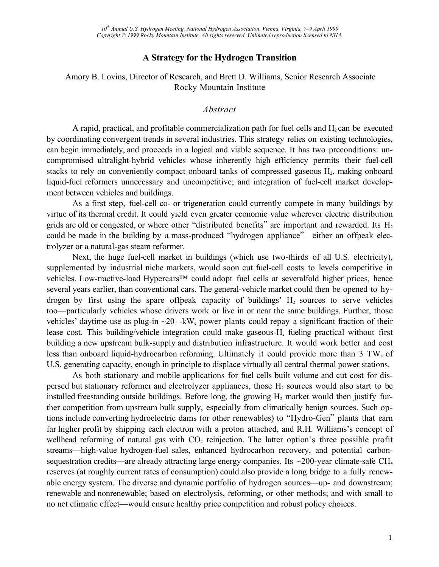## **A Strategy for the Hydrogen Transition**

### Amory B. Lovins, Director of Research, and Brett D. Williams, Senior Research Associate Rocky Mountain Institute

#### *Abstract*

A rapid, practical, and profitable commercialization path for fuel cells and  $H<sub>2</sub>$  can be executed by coordinating convergent trends in several industries. This strategy relies on existing technologies, can begin immediately, and proceeds in a logical and viable sequence. It has two preconditions: uncompromised ultralight-hybrid vehicles whose inherently high efficiency permits their fuel-cell stacks to rely on conveniently compact onboard tanks of compressed gaseous  $H_2$ , making onboard liquid-fuel reformers unnecessary and uncompetitive; and integration of fuel-cell market development between vehicles and buildings.

As a first step, fuel-cell co- or trigeneration could currently compete in many buildings by virtue of its thermal credit. It could yield even greater economic value wherever electric distribution grids are old or congested, or where other "distributed benefits" are important and rewarded. Its  $H_2$ could be made in the building by a mass-produced "hydrogen appliance"—either an offpeak electrolyzer or a natural-gas steam reformer.

Next, the huge fuel-cell market in buildings (which use two-thirds of all U.S. electricity), supplemented by industrial niche markets, would soon cut fuel-cell costs to levels competitive in vehicles. Low-tractive-load Hypercars<sup>™</sup> could adopt fuel cells at severalfold higher prices, hence several years earlier, than conventional cars. The general-vehicle market could then be opened to hydrogen by first using the spare offpeak capacity of buildings'  $H_2$  sources to serve vehicles too—particularly vehicles whose drivers work or live in or near the same buildings. Further, those vehicles' daytime use as plug-in  $\sim$ 20+-kW<sub>e</sub> power plants could repay a significant fraction of their lease cost. This building/vehicle integration could make gaseous- $H_2$  fueling practical without first building a new upstream bulk-supply and distribution infrastructure. It would work better and cost less than onboard liquid-hydrocarbon reforming. Ultimately it could provide more than 3 TW<sub>e</sub> of U.S. generating capacity, enough in principle to displace virtually all central thermal power stations.

As both stationary and mobile applications for fuel cells built volume and cut cost for dispersed but stationary reformer and electrolyzer appliances, those  $H_2$  sources would also start to be installed freestanding outside buildings. Before long, the growing  $H_2$  market would then justify further competition from upstream bulk supply, especially from climatically benign sources. Such options include converting hydroelectric dams (or other renewables) to "Hydro-Gen" plants that earn far higher profit by shipping each electron with a proton attached, and R.H. Williams's concept of wellhead reforming of natural gas with  $CO<sub>2</sub>$  reinjection. The latter option's three possible profit streams—high-value hydrogen-fuel sales, enhanced hydrocarbon recovery, and potential carbonsequestration credits—are already attracting large energy companies. Its  $\sim$ 200-year climate-safe CH<sub>4</sub> reserves (at roughly current rates of consumption) could also provide a long bridge to a fully renewable energy system. The diverse and dynamic portfolio of hydrogen sources—up- and downstream; renewable and nonrenewable; based on electrolysis, reforming, or other methods; and with small to no net climatic effect—would ensure healthy price competition and robust policy choices.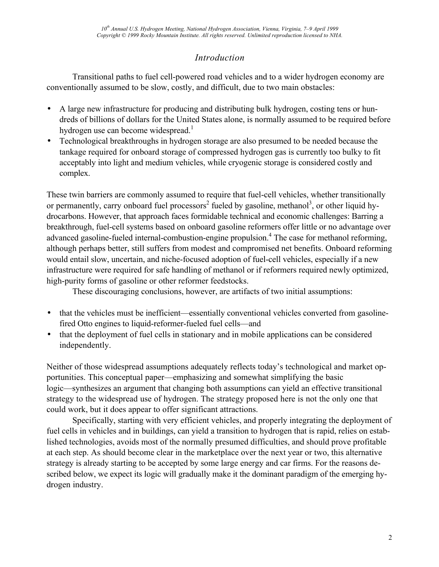# *Introduction*

Transitional paths to fuel cell-powered road vehicles and to a wider hydrogen economy are conventionally assumed to be slow, costly, and difficult, due to two main obstacles:

- A large new infrastructure for producing and distributing bulk hydrogen, costing tens or hundreds of billions of dollars for the United States alone, is normally assumed to be required before hydrogen use can become widespread.<sup>1</sup>
- Technological breakthroughs in hydrogen storage are also presumed to be needed because the tankage required for onboard storage of compressed hydrogen gas is currently too bulky to fit acceptably into light and medium vehicles, while cryogenic storage is considered costly and complex.

These twin barriers are commonly assumed to require that fuel-cell vehicles, whether transitionally or permanently, carry onboard fuel processors<sup>2</sup> fueled by gasoline, methanol<sup>3</sup>, or other liquid hydrocarbons. However, that approach faces formidable technical and economic challenges: Barring a breakthrough, fuel-cell systems based on onboard gasoline reformers offer little or no advantage over advanced gasoline-fueled internal-combustion-engine propulsion.<sup>4</sup> The case for methanol reforming, although perhaps better, still suffers from modest and compromised net benefits. Onboard reforming would entail slow, uncertain, and niche-focused adoption of fuel-cell vehicles, especially if a new infrastructure were required for safe handling of methanol or if reformers required newly optimized, high-purity forms of gasoline or other reformer feedstocks.

These discouraging conclusions, however, are artifacts of two initial assumptions:

- that the vehicles must be inefficient—essentially conventional vehicles converted from gasolinefired Otto engines to liquid-reformer-fueled fuel cells—and
- that the deployment of fuel cells in stationary and in mobile applications can be considered independently.

Neither of those widespread assumptions adequately reflects today's technological and market opportunities. This conceptual paper—emphasizing and somewhat simplifying the basic logic—synthesizes an argument that changing both assumptions can yield an effective transitional strategy to the widespread use of hydrogen. The strategy proposed here is not the only one that could work, but it does appear to offer significant attractions.

Specifically, starting with very efficient vehicles, and properly integrating the deployment of fuel cells in vehicles and in buildings, can yield a transition to hydrogen that is rapid, relies on established technologies, avoids most of the normally presumed difficulties, and should prove profitable at each step. As should become clear in the marketplace over the next year or two, this alternative strategy is already starting to be accepted by some large energy and car firms. For the reasons described below, we expect its logic will gradually make it the dominant paradigm of the emerging hydrogen industry.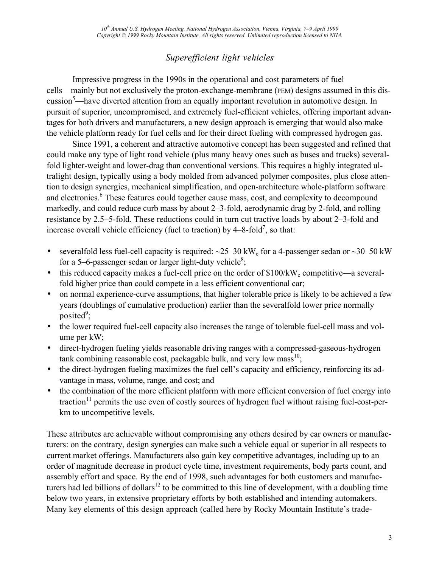# *Superefficient light vehicles*

Impressive progress in the 1990s in the operational and cost parameters of fuel cells—mainly but not exclusively the proton-exchange-membrane (PEM) designs assumed in this discussion<sup>5</sup>—have diverted attention from an equally important revolution in automotive design. In pursuit of superior, uncompromised, and extremely fuel-efficient vehicles, offering important advantages for both drivers and manufacturers, a new design approach is emerging that would also make the vehicle platform ready for fuel cells and for their direct fueling with compressed hydrogen gas.

Since 1991, a coherent and attractive automotive concept has been suggested and refined that could make any type of light road vehicle (plus many heavy ones such as buses and trucks) severalfold lighter-weight and lower-drag than conventional versions. This requires a highly integrated ultralight design, typically using a body molded from advanced polymer composites, plus close attention to design synergies, mechanical simplification, and open-architecture whole-platform software and electronics.<sup>6</sup> These features could together cause mass, cost, and complexity to decompound markedly, and could reduce curb mass by about 2–3-fold, aerodynamic drag by 2-fold, and rolling resistance by 2.5–5-fold. These reductions could in turn cut tractive loads by about 2–3-fold and increase overall vehicle efficiency (fuel to traction) by  $4-8$ -fold<sup>7</sup>, so that:

- severalfold less fuel-cell capacity is required:  $\sim$ 25–30 kW<sub>e</sub> for a 4-passenger sedan or  $\sim$ 30–50 kW for a 5–6-passenger sedan or larger light-duty vehicle<sup>8</sup>;
- $\bullet$  this reduced capacity makes a fuel-cell price on the order of \$100/kW<sub>e</sub> competitive—a severalfold higher price than could compete in a less efficient conventional car;
- on normal experience-curve assumptions, that higher tolerable price is likely to be achieved a few years (doublings of cumulative production) earlier than the severalfold lower price normally posited<sup>9</sup>;
- the lower required fuel-cell capacity also increases the range of tolerable fuel-cell mass and volume per kW;
- direct-hydrogen fueling yields reasonable driving ranges with a compressed-gaseous-hydrogen tank combining reasonable cost, packagable bulk, and very low mass<sup>10</sup>;
- the direct-hydrogen fueling maximizes the fuel cell's capacity and efficiency, reinforcing its advantage in mass, volume, range, and cost; and
- the combination of the more efficient platform with more efficient conversion of fuel energy into traction<sup>11</sup> permits the use even of costly sources of hydrogen fuel without raising fuel-cost-perkm to uncompetitive levels.

These attributes are achievable without compromising any others desired by car owners or manufacturers: on the contrary, design synergies can make such a vehicle equal or superior in all respects to current market offerings. Manufacturers also gain key competitive advantages, including up to an order of magnitude decrease in product cycle time, investment requirements, body parts count, and assembly effort and space. By the end of 1998, such advantages for both customers and manufacturers had led billions of dollars<sup>12</sup> to be committed to this line of development, with a doubling time below two years, in extensive proprietary efforts by both established and intending automakers. Many key elements of this design approach (called here by Rocky Mountain Institute's trade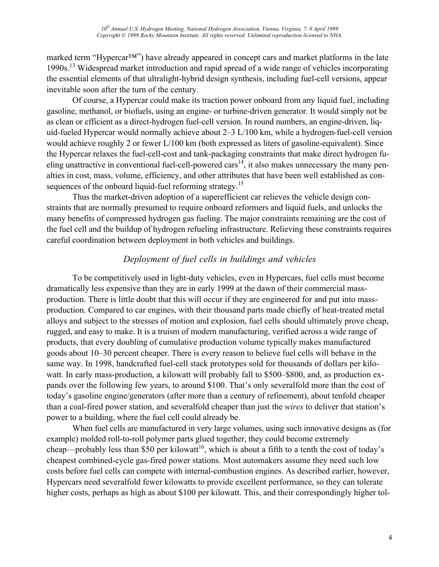marked term "Hypercar™") have already appeared in concept cars and market platforms in the late 1990s.13 Widespread market introduction and rapid spread of a wide range of vehicles incorporating the essential elements of that ultralight-hybrid design synthesis, including fuel-cell versions, appear inevitable soon after the turn of the century.

Of course, a Hypercar could make its traction power onboard from any liquid fuel, including gasoline, methanol, or biofuels, using an engine- or turbine-driven generator. It would simply not be as clean or efficient as a direct-hydrogen fuel-cell version. In round numbers, an engine-driven, liquid-fueled Hypercar would normally achieve about 2–3 L/100 km, while a hydrogen-fuel-cell version would achieve roughly 2 or fewer L/100 km (both expressed as liters of gasoline-equivalent). Since the Hypercar relaxes the fuel-cell-cost and tank-packaging constraints that make direct hydrogen fueling unattractive in conventional fuel-cell-powered  $\text{cars}^{14}$ , it also makes unnecessary the many penalties in cost, mass, volume, efficiency, and other attributes that have been well established as consequences of the onboard liquid-fuel reforming strategy.<sup>15</sup>

Thus the market-driven adoption of a superefficient car relieves the vehicle design constraints that are normally presumed to require onboard reformers and liquid fuels, and unlocks the many benefits of compressed hydrogen gas fueling. The major constraints remaining are the cost of the fuel cell and the buildup of hydrogen refueling infrastructure. Relieving these constraints requires careful coordination between deployment in both vehicles and buildings.

## *Deployment of fuel cells in buildings and vehicles*

To be competitively used in light-duty vehicles, even in Hypercars, fuel cells must become dramatically less expensive than they are in early 1999 at the dawn of their commercial massproduction. There is little doubt that this will occur if they are engineered for and put into massproduction. Compared to car engines, with their thousand parts made chiefly of heat-treated metal alloys and subject to the stresses of motion and explosion, fuel cells should ultimately prove cheap, rugged, and easy to make. It is a truism of modern manufacturing, verified across a wide range of products, that every doubling of cumulative production volume typically makes manufactured goods about 10–30 percent cheaper. There is every reason to believe fuel cells will behave in the same way. In 1998, handcrafted fuel-cell stack prototypes sold for thousands of dollars per kilowatt. In early mass-production, a kilowatt will probably fall to \$500–\$800, and, as production expands over the following few years, to around \$100. That's only severalfold more than the cost of today's gasoline engine/generators (after more than a century of refinement), about tenfold cheaper than a coal-fired power station, and severalfold cheaper than just the *wires* to deliver that station's power to a building, where the fuel cell could already be.

When fuel cells are manufactured in very large volumes, using such innovative designs as (for example) molded roll-to-roll polymer parts glued together, they could become extremely cheap—probably less than \$50 per kilowatt<sup>16</sup>, which is about a fifth to a tenth the cost of today's cheapest combined-cycle gas-fired power stations. Most automakers assume they need such low costs before fuel cells can compete with internal-combustion engines. As described earlier, however, Hypercars need severalfold fewer kilowatts to provide excellent performance, so they can tolerate higher costs, perhaps as high as about \$100 per kilowatt. This, and their correspondingly higher tol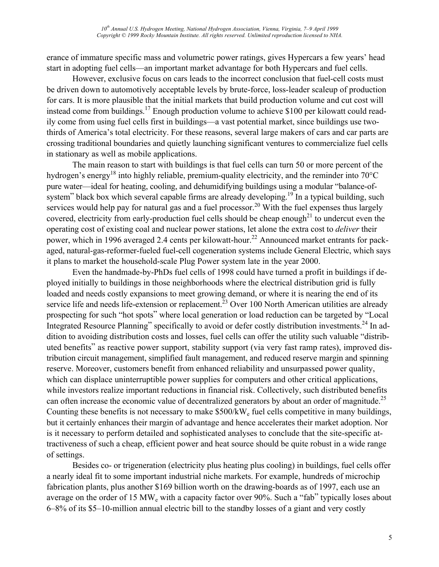erance of immature specific mass and volumetric power ratings, gives Hypercars a few years' head start in adopting fuel cells—an important market advantage for both Hypercars and fuel cells.

However, exclusive focus on cars leads to the incorrect conclusion that fuel-cell costs must be driven down to automotively acceptable levels by brute-force, loss-leader scaleup of production for cars. It is more plausible that the initial markets that build production volume and cut cost will instead come from buildings.<sup>17</sup> Enough production volume to achieve \$100 per kilowatt could readily come from using fuel cells first in buildings—a vast potential market, since buildings use twothirds of America's total electricity. For these reasons, several large makers of cars and car parts are crossing traditional boundaries and quietly launching significant ventures to commercialize fuel cells in stationary as well as mobile applications.

The main reason to start with buildings is that fuel cells can turn 50 or more percent of the hydrogen's energy<sup>18</sup> into highly reliable, premium-quality electricity, and the reminder into  $70^{\circ}$ C pure water—ideal for heating, cooling, and dehumidifying buildings using a modular "balance-ofsystem" black box which several capable firms are already developing.<sup>19</sup> In a typical building, such services would help pay for natural gas and a fuel processor.<sup>20</sup> With the fuel expenses thus largely covered, electricity from early-production fuel cells should be cheap enough<sup>21</sup> to undercut even the operating cost of existing coal and nuclear power stations, let alone the extra cost to *deliver* their power, which in 1996 averaged 2.4 cents per kilowatt-hour.<sup>22</sup> Announced market entrants for packaged, natural-gas-reformer-fueled fuel-cell cogeneration systems include General Electric, which says it plans to market the household-scale Plug Power system late in the year 2000.

Even the handmade-by-PhDs fuel cells of 1998 could have turned a profit in buildings if deployed initially to buildings in those neighborhoods where the electrical distribution grid is fully loaded and needs costly expansions to meet growing demand, or where it is nearing the end of its service life and needs life-extension or replacement.<sup>23</sup> Over 100 North American utilities are already prospecting for such "hot spots" where local generation or load reduction can be targeted by "Local Integrated Resource Planning" specifically to avoid or defer costly distribution investments.<sup>24</sup> In addition to avoiding distribution costs and losses, fuel cells can offer the utility such valuable "distributed benefits" as reactive power support, stability support (via very fast ramp rates), improved distribution circuit management, simplified fault management, and reduced reserve margin and spinning reserve. Moreover, customers benefit from enhanced reliability and unsurpassed power quality, which can displace uninterruptible power supplies for computers and other critical applications, while investors realize important reductions in financial risk. Collectively, such distributed benefits can often increase the economic value of decentralized generators by about an order of magnitude.<sup>25</sup> Counting these benefits is not necessary to make \$500/kW<sub>e</sub> fuel cells competitive in many buildings, but it certainly enhances their margin of advantage and hence accelerates their market adoption. Nor is it necessary to perform detailed and sophisticated analyses to conclude that the site-specific attractiveness of such a cheap, efficient power and heat source should be quite robust in a wide range of settings.

Besides co- or trigeneration (electricity plus heating plus cooling) in buildings, fuel cells offer a nearly ideal fit to some important industrial niche markets. For example, hundreds of microchip fabrication plants, plus another \$169 billion worth on the drawing-boards as of 1997, each use an average on the order of 15 MW<sub>e</sub> with a capacity factor over 90%. Such a "fab" typically loses about 6–8% of its \$5–10-million annual electric bill to the standby losses of a giant and very costly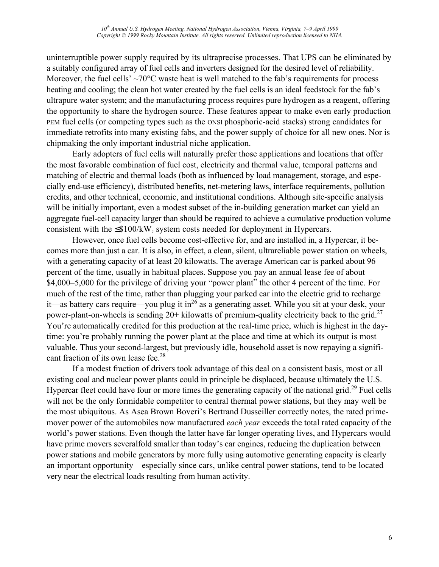uninterruptible power supply required by its ultraprecise processes. That UPS can be eliminated by a suitably configured array of fuel cells and inverters designed for the desired level of reliability. Moreover, the fuel cells'  $\sim$ 70 $\degree$ C waste heat is well matched to the fab's requirements for process heating and cooling; the clean hot water created by the fuel cells is an ideal feedstock for the fab's ultrapure water system; and the manufacturing process requires pure hydrogen as a reagent, offering the opportunity to share the hydrogen source. These features appear to make even early production PEM fuel cells (or competing types such as the ONSI phosphoric-acid stacks) strong candidates for immediate retrofits into many existing fabs, and the power supply of choice for all new ones. Nor is chipmaking the only important industrial niche application.

Early adopters of fuel cells will naturally prefer those applications and locations that offer the most favorable combination of fuel cost, electricity and thermal value, temporal patterns and matching of electric and thermal loads (both as influenced by load management, storage, and especially end-use efficiency), distributed benefits, net-metering laws, interface requirements, pollution credits, and other technical, economic, and institutional conditions. Although site-specific analysis will be initially important, even a modest subset of the in-building generation market can yield an aggregate fuel-cell capacity larger than should be required to achieve a cumulative production volume consistent with the  $\leq$ \$100/kW<sub>e</sub> system costs needed for deployment in Hypercars.

However, once fuel cells become cost-effective for, and are installed in, a Hypercar, it becomes more than just a car. It is also, in effect, a clean, silent, ultrareliable power station on wheels, with a generating capacity of at least 20 kilowatts. The average American car is parked about 96 percent of the time, usually in habitual places. Suppose you pay an annual lease fee of about \$4,000–5,000 for the privilege of driving your "power plant" the other 4 percent of the time. For much of the rest of the time, rather than plugging your parked car into the electric grid to recharge it—as battery cars require—you plug it in<sup>26</sup> as a generating asset. While you sit at your desk, your power-plant-on-wheels is sending  $20+$  kilowatts of premium-quality electricity back to the grid.<sup>27</sup> You're automatically credited for this production at the real-time price, which is highest in the daytime: you're probably running the power plant at the place and time at which its output is most valuable. Thus your second-largest, but previously idle, household asset is now repaying a significant fraction of its own lease fee.<sup>28</sup>

If a modest fraction of drivers took advantage of this deal on a consistent basis, most or all existing coal and nuclear power plants could in principle be displaced, because ultimately the U.S. Hypercar fleet could have four or more times the generating capacity of the national grid.<sup>29</sup> Fuel cells will not be the only formidable competitor to central thermal power stations, but they may well be the most ubiquitous. As Asea Brown Boveri's Bertrand Dusseiller correctly notes, the rated primemover power of the automobiles now manufactured *each year* exceeds the total rated capacity of the world's power stations. Even though the latter have far longer operating lives, and Hypercars would have prime movers severalfold smaller than today's car engines, reducing the duplication between power stations and mobile generators by more fully using automotive generating capacity is clearly an important opportunity—especially since cars, unlike central power stations, tend to be located very near the electrical loads resulting from human activity.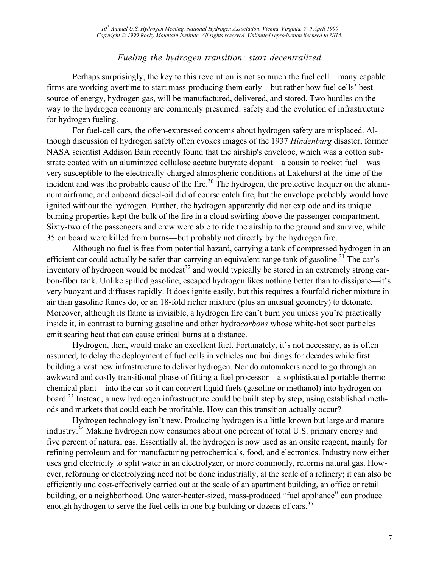## *Fueling the hydrogen transition: start decentralized*

Perhaps surprisingly, the key to this revolution is not so much the fuel cell—many capable firms are working overtime to start mass-producing them early—but rather how fuel cells' best source of energy, hydrogen gas, will be manufactured, delivered, and stored. Two hurdles on the way to the hydrogen economy are commonly presumed: safety and the evolution of infrastructure for hydrogen fueling.

For fuel-cell cars, the often-expressed concerns about hydrogen safety are misplaced. Although discussion of hydrogen safety often evokes images of the 1937 *Hindenburg* disaster, former NASA scientist Addison Bain recently found that the airship's envelope, which was a cotton substrate coated with an aluminized cellulose acetate butyrate dopant—a cousin to rocket fuel—was very susceptible to the electrically-charged atmospheric conditions at Lakehurst at the time of the incident and was the probable cause of the fire.<sup>30</sup> The hydrogen, the protective lacquer on the aluminum airframe, and onboard diesel-oil did of course catch fire, but the envelope probably would have ignited without the hydrogen. Further, the hydrogen apparently did not explode and its unique burning properties kept the bulk of the fire in a cloud swirling above the passenger compartment. Sixty-two of the passengers and crew were able to ride the airship to the ground and survive, while 35 on board were killed from burns—but probably not directly by the hydrogen fire.

Although no fuel is free from potential hazard, carrying a tank of compressed hydrogen in an efficient car could actually be safer than carrying an equivalent-range tank of gasoline.<sup>31</sup> The car's inventory of hydrogen would be modest<sup>32</sup> and would typically be stored in an extremely strong carbon-fiber tank. Unlike spilled gasoline, escaped hydrogen likes nothing better than to dissipate—it's very buoyant and diffuses rapidly. It does ignite easily, but this requires a fourfold richer mixture in air than gasoline fumes do, or an 18-fold richer mixture (plus an unusual geometry) to detonate. Moreover, although its flame is invisible, a hydrogen fire can't burn you unless you're practically inside it, in contrast to burning gasoline and other hydro*carbons* whose white-hot soot particles emit searing heat that can cause critical burns at a distance.

Hydrogen, then, would make an excellent fuel. Fortunately, it's not necessary, as is often assumed, to delay the deployment of fuel cells in vehicles and buildings for decades while first building a vast new infrastructure to deliver hydrogen. Nor do automakers need to go through an awkward and costly transitional phase of fitting a fuel processor—a sophisticated portable thermochemical plant—into the car so it can convert liquid fuels (gasoline or methanol) into hydrogen onboard.33 Instead, a new hydrogen infrastructure could be built step by step, using established methods and markets that could each be profitable. How can this transition actually occur?

Hydrogen technology isn't new. Producing hydrogen is a little-known but large and mature industry.34 Making hydrogen now consumes about one percent of total U.S. primary energy and five percent of natural gas. Essentially all the hydrogen is now used as an onsite reagent, mainly for refining petroleum and for manufacturing petrochemicals, food, and electronics. Industry now either uses grid electricity to split water in an electrolyzer, or more commonly, reforms natural gas. However, reforming or electrolyzing need not be done industrially, at the scale of a refinery; it can also be efficiently and cost-effectively carried out at the scale of an apartment building, an office or retail building, or a neighborhood. One water-heater-sized, mass-produced "fuel appliance" can produce enough hydrogen to serve the fuel cells in one big building or dozens of cars.<sup>35</sup>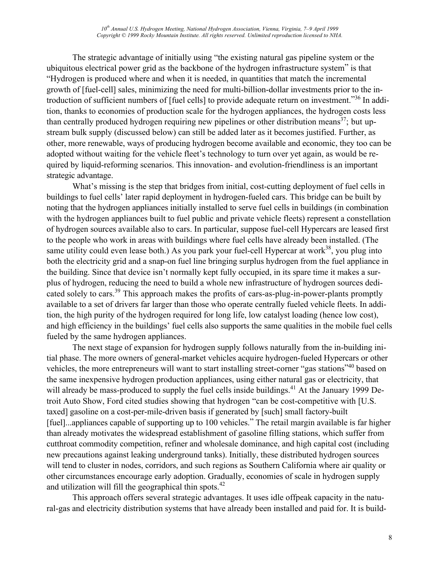The strategic advantage of initially using "the existing natural gas pipeline system or the ubiquitous electrical power grid as the backbone of the hydrogen infrastructure system" is that "Hydrogen is produced where and when it is needed, in quantities that match the incremental growth of [fuel-cell] sales, minimizing the need for multi-billion-dollar investments prior to the introduction of sufficient numbers of [fuel cells] to provide adequate return on investment."36 In addition, thanks to economies of production scale for the hydrogen appliances, the hydrogen costs less than centrally produced hydrogen requiring new pipelines or other distribution means<sup>37</sup>; but upstream bulk supply (discussed below) can still be added later as it becomes justified. Further, as other, more renewable, ways of producing hydrogen become available and economic, they too can be adopted without waiting for the vehicle fleet's technology to turn over yet again, as would be required by liquid-reforming scenarios. This innovation- and evolution-friendliness is an important strategic advantage.

What's missing is the step that bridges from initial, cost-cutting deployment of fuel cells in buildings to fuel cells' later rapid deployment in hydrogen-fueled cars. This bridge can be built by noting that the hydrogen appliances initially installed to serve fuel cells in buildings (in combination with the hydrogen appliances built to fuel public and private vehicle fleets) represent a constellation of hydrogen sources available also to cars. In particular, suppose fuel-cell Hypercars are leased first to the people who work in areas with buildings where fuel cells have already been installed. (The same utility could even lease both.) As you park your fuel-cell Hypercar at work<sup>38</sup>, you plug into both the electricity grid and a snap-on fuel line bringing surplus hydrogen from the fuel appliance in the building. Since that device isn't normally kept fully occupied, in its spare time it makes a surplus of hydrogen, reducing the need to build a whole new infrastructure of hydrogen sources dedicated solely to cars.<sup>39</sup> This approach makes the profits of cars-as-plug-in-power-plants promptly available to a set of drivers far larger than those who operate centrally fueled vehicle fleets. In addition, the high purity of the hydrogen required for long life, low catalyst loading (hence low cost), and high efficiency in the buildings' fuel cells also supports the same qualities in the mobile fuel cells fueled by the same hydrogen appliances.

The next stage of expansion for hydrogen supply follows naturally from the in-building initial phase. The more owners of general-market vehicles acquire hydrogen-fueled Hypercars or other vehicles, the more entrepreneurs will want to start installing street-corner "gas stations"40 based on the same inexpensive hydrogen production appliances, using either natural gas or electricity, that will already be mass-produced to supply the fuel cells inside buildings.<sup>41</sup> At the January 1999 Detroit Auto Show, Ford cited studies showing that hydrogen "can be cost-competitive with [U.S. taxed] gasoline on a cost-per-mile-driven basis if generated by [such] small factory-built [fuel]...appliances capable of supporting up to 100 vehicles." The retail margin available is far higher than already motivates the widespread establishment of gasoline filling stations, which suffer from cutthroat commodity competition, refiner and wholesale dominance, and high capital cost (including new precautions against leaking underground tanks). Initially, these distributed hydrogen sources will tend to cluster in nodes, corridors, and such regions as Southern California where air quality or other circumstances encourage early adoption. Gradually, economies of scale in hydrogen supply and utilization will fill the geographical thin spots. $42$ 

This approach offers several strategic advantages. It uses idle offpeak capacity in the natural-gas and electricity distribution systems that have already been installed and paid for. It is build-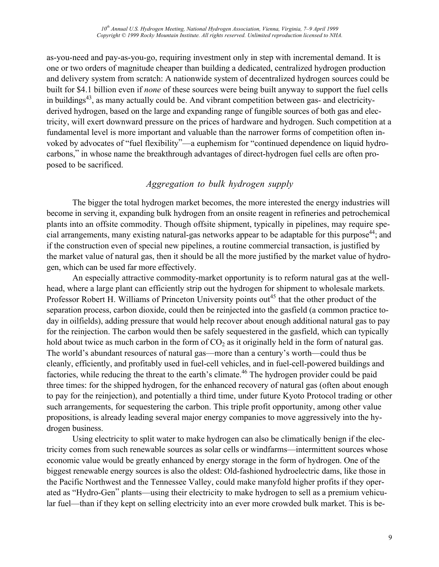*10th Annual U.S. Hydrogen Meeting, National Hydrogen Association, Vienna, Virginia, 7–9 April 1999 Copyright © 1999 Rocky Mountain Institute. All rights reserved. Unlimited reproduction licensed to NHA.*

as-you-need and pay-as-you-go, requiring investment only in step with incremental demand. It is one or two orders of magnitude cheaper than building a dedicated, centralized hydrogen production and delivery system from scratch: A nationwide system of decentralized hydrogen sources could be built for \$4.1 billion even if *none* of these sources were being built anyway to support the fuel cells in buildings<sup>43</sup>, as many actually could be. And vibrant competition between gas- and electricityderived hydrogen, based on the large and expanding range of fungible sources of both gas and electricity, will exert downward pressure on the prices of hardware and hydrogen. Such competition at a fundamental level is more important and valuable than the narrower forms of competition often invoked by advocates of "fuel flexibility"—a euphemism for "continued dependence on liquid hydrocarbons," in whose name the breakthrough advantages of direct-hydrogen fuel cells are often proposed to be sacrificed.

## *Aggregation to bulk hydrogen supply*

The bigger the total hydrogen market becomes, the more interested the energy industries will become in serving it, expanding bulk hydrogen from an onsite reagent in refineries and petrochemical plants into an offsite commodity. Though offsite shipment, typically in pipelines, may require special arrangements, many existing natural-gas networks appear to be adaptable for this purpose<sup>44</sup>; and if the construction even of special new pipelines, a routine commercial transaction, is justified by the market value of natural gas, then it should be all the more justified by the market value of hydrogen, which can be used far more effectively.

An especially attractive commodity-market opportunity is to reform natural gas at the wellhead, where a large plant can efficiently strip out the hydrogen for shipment to wholesale markets. Professor Robert H. Williams of Princeton University points out<sup>45</sup> that the other product of the separation process, carbon dioxide, could then be reinjected into the gasfield (a common practice today in oilfields), adding pressure that would help recover about enough additional natural gas to pay for the reinjection. The carbon would then be safely sequestered in the gasfield, which can typically hold about twice as much carbon in the form of  $CO<sub>2</sub>$  as it originally held in the form of natural gas. The world's abundant resources of natural gas—more than a century's worth—could thus be cleanly, efficiently, and profitably used in fuel-cell vehicles, and in fuel-cell-powered buildings and factories, while reducing the threat to the earth's climate.<sup>46</sup> The hydrogen provider could be paid three times: for the shipped hydrogen, for the enhanced recovery of natural gas (often about enough to pay for the reinjection), and potentially a third time, under future Kyoto Protocol trading or other such arrangements, for sequestering the carbon. This triple profit opportunity, among other value propositions, is already leading several major energy companies to move aggressively into the hydrogen business.

Using electricity to split water to make hydrogen can also be climatically benign if the electricity comes from such renewable sources as solar cells or windfarms—intermittent sources whose economic value would be greatly enhanced by energy storage in the form of hydrogen. One of the biggest renewable energy sources is also the oldest: Old-fashioned hydroelectric dams, like those in the Pacific Northwest and the Tennessee Valley, could make manyfold higher profits if they operated as "Hydro-Gen" plants—using their electricity to make hydrogen to sell as a premium vehicular fuel—than if they kept on selling electricity into an ever more crowded bulk market. This is be-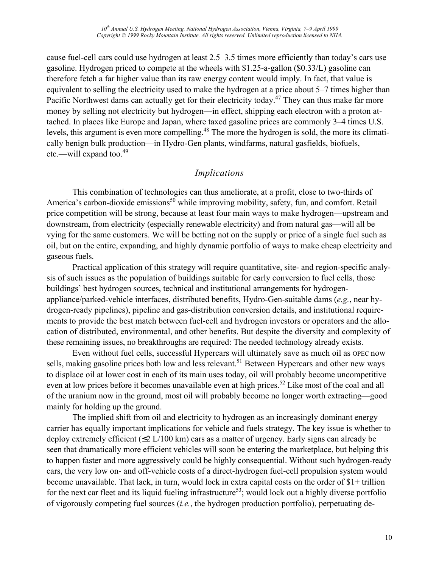cause fuel-cell cars could use hydrogen at least 2.5–3.5 times more efficiently than today's cars use gasoline. Hydrogen priced to compete at the wheels with \$1.25-a-gallon (\$0.33/L) gasoline can therefore fetch a far higher value than its raw energy content would imply. In fact, that value is equivalent to selling the electricity used to make the hydrogen at a price about 5–7 times higher than Pacific Northwest dams can actually get for their electricity today.<sup>47</sup> They can thus make far more money by selling not electricity but hydrogen—in effect, shipping each electron with a proton attached. In places like Europe and Japan, where taxed gasoline prices are commonly 3–4 times U.S. levels, this argument is even more compelling.<sup>48</sup> The more the hydrogen is sold, the more its climatically benign bulk production—in Hydro-Gen plants, windfarms, natural gasfields, biofuels, etc.—will expand too.<sup>49</sup>

## *Implications*

This combination of technologies can thus ameliorate, at a profit, close to two-thirds of America's carbon-dioxide emissions<sup>50</sup> while improving mobility, safety, fun, and comfort. Retail price competition will be strong, because at least four main ways to make hydrogen—upstream and downstream, from electricity (especially renewable electricity) and from natural gas—will all be vying for the same customers. We will be betting not on the supply or price of a single fuel such as oil, but on the entire, expanding, and highly dynamic portfolio of ways to make cheap electricity and gaseous fuels.

Practical application of this strategy will require quantitative, site- and region-specific analysis of such issues as the population of buildings suitable for early conversion to fuel cells, those buildings' best hydrogen sources, technical and institutional arrangements for hydrogenappliance/parked-vehicle interfaces, distributed benefits, Hydro-Gen-suitable dams (*e.g.*, near hydrogen-ready pipelines), pipeline and gas-distribution conversion details, and institutional requirements to provide the best match between fuel-cell and hydrogen investors or operators and the allocation of distributed, environmental, and other benefits. But despite the diversity and complexity of these remaining issues, no breakthroughs are required: The needed technology already exists.

Even without fuel cells, successful Hypercars will ultimately save as much oil as OPEC now sells, making gasoline prices both low and less relevant.<sup>51</sup> Between Hypercars and other new ways to displace oil at lower cost in each of its main uses today, oil will probably become uncompetitive even at low prices before it becomes unavailable even at high prices.<sup>52</sup> Like most of the coal and all of the uranium now in the ground, most oil will probably become no longer worth extracting—good mainly for holding up the ground.

The implied shift from oil and electricity to hydrogen as an increasingly dominant energy carrier has equally important implications for vehicle and fuels strategy. The key issue is whether to deploy extremely efficient (≤2 L/100 km) cars as a matter of urgency. Early signs can already be seen that dramatically more efficient vehicles will soon be entering the marketplace, but helping this to happen faster and more aggressively could be highly consequential. Without such hydrogen-ready cars, the very low on- and off-vehicle costs of a direct-hydrogen fuel-cell propulsion system would become unavailable. That lack, in turn, would lock in extra capital costs on the order of \$1+ trillion for the next car fleet and its liquid fueling infrastructure<sup>53</sup>; would lock out a highly diverse portfolio of vigorously competing fuel sources (*i.e.*, the hydrogen production portfolio), perpetuating de-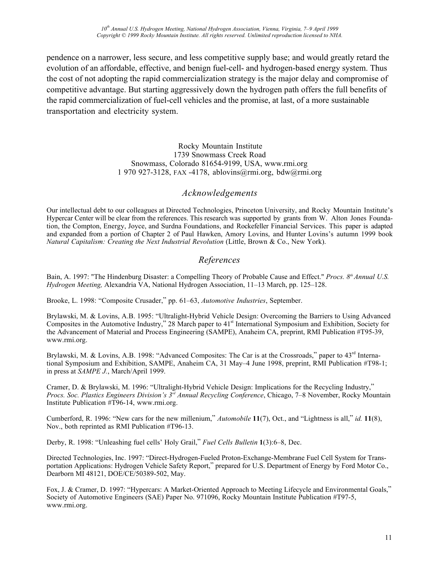*10th Annual U.S. Hydrogen Meeting, National Hydrogen Association, Vienna, Virginia, 7–9 April 1999 Copyright © 1999 Rocky Mountain Institute. All rights reserved. Unlimited reproduction licensed to NHA.*

pendence on a narrower, less secure, and less competitive supply base; and would greatly retard the evolution of an affordable, effective, and benign fuel-cell- and hydrogen-based energy system. Thus the cost of not adopting the rapid commercialization strategy is the major delay and compromise of competitive advantage. But starting aggressively down the hydrogen path offers the full benefits of the rapid commercialization of fuel-cell vehicles and the promise, at last, of a more sustainable transportation and electricity system.

> Rocky Mountain Institute 1739 Snowmass Creek Road Snowmass, Colorado 81654-9199, USA, www.rmi.org 1 970 927-3128, FAX -4178, ablovins@rmi.org, bdw@rmi.org

#### *Acknowledgements*

Our intellectual debt to our colleagues at Directed Technologies, Princeton University, and Rocky Mountain Institute's Hypercar Center will be clear from the references. This research was supported by grants from W. Alton Jones Foundation, the Compton, Energy, Joyce, and Surdna Foundations, and Rockefeller Financial Services. This paper is adapted and expanded from a portion of Chapter 2 of Paul Hawken, Amory Lovins, and Hunter Lovins's autumn 1999 book *Natural Capitalism: Creating the Next Industrial Revolution (Little, Brown & Co., New York).* 

#### *References*

Bain, A. 1997: "The Hindenburg Disaster: a Compelling Theory of Probable Cause and Effect." *Procs. 8<sup>th</sup>Annual U.S. Hydrogen Meeting,* Alexandria VA, National Hydrogen Association, 11–13 March, pp. 125–128.

Brooke, L. 1998: "Composite Crusader," pp. 61–63, *Automotive Industries*, September.

Brylawski, M. & Lovins, A.B. 1995: "Ultralight-Hybrid Vehicle Design: Overcoming the Barriers to Using Advanced Composites in the Automotive Industry," 28 March paper to  $41<sup>st</sup>$  International Symposium and Exhibition, Society for the Advancement of Material and Process Engineering (SAMPE), Anaheim CA, preprint, RMI Publication #T95-39, www.rmi.org.

Brylawski, M. & Lovins, A.B. 1998: "Advanced Composites: The Car is at the Crossroads," paper to 43<sup>rd</sup> International Symposium and Exhibition, SAMPE, Anaheim CA, 31 May–4 June 1998, preprint, RMI Publication #T98-1; in press at *SAMPE J.*, March/April 1999.

Cramer, D. & Brylawski, M. 1996: "Ultralight-Hybrid Vehicle Design: Implications for the Recycling Industry," *Procs. Soc. Plastics Engineers Division's 3rd Annual Recycling Conference*, Chicago, 7–8 November, Rocky Mountain Institute Publication #T96-14, www.rmi.org.

Cumberford, R. 1996: "New cars for the new millenium," *Automobile* **11**(7), Oct., and "Lightness is all," *id.* **11**(8), Nov., both reprinted as RMI Publication #T96-13.

Derby, R. 1998: "Unleashing fuel cells' Holy Grail," *Fuel Cells Bulletin* **1**(3):6–8, Dec.

Directed Technologies, Inc. 1997: "Direct-Hydrogen-Fueled Proton-Exchange-Membrane Fuel Cell System for Transportation Applications: Hydrogen Vehicle Safety Report," prepared for U.S. Department of Energy by Ford Motor Co., Dearborn MI 48121, DOE/CE/50389-502, May.

Fox, J. & Cramer, D. 1997: "Hypercars: A Market-Oriented Approach to Meeting Lifecycle and Environmental Goals," Society of Automotive Engineers (SAE) Paper No. 971096, Rocky Mountain Institute Publication #T97-5, www.rmi.org.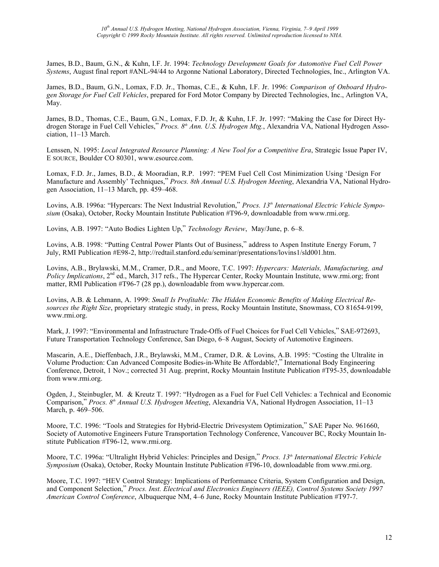James, B.D., Baum, G.N., & Kuhn, I.F. Jr. 1994: *Technology Development Goals for Automotive Fuel Cell Power Systems*, August final report #ANL-94/44 to Argonne National Laboratory, Directed Technologies, Inc., Arlington VA.

James, B.D., Baum, G.N., Lomax, F.D. Jr., Thomas, C.E., & Kuhn, I.F. Jr. 1996: *Comparison of Onboard Hydrogen Storage for Fuel Cell Vehicles*, prepared for Ford Motor Company by Directed Technologies, Inc., Arlington VA, May.

James, B.D., Thomas, C.E., Baum, G.N., Lomax, F.D. Jr, & Kuhn, I.F. Jr. 1997: "Making the Case for Direct Hydrogen Storage in Fuel Cell Vehicles," *Procs. 8th Ann. U.S. Hydrogen Mtg.*, Alexandria VA, National Hydrogen Association, 11–13 March.

Lenssen, N. 1995: *Local Integrated Resource Planning: A New Tool for a Competitive Era*, Strategic Issue Paper IV, E SOURCE, Boulder CO 80301, www.esource.com.

Lomax, F.D. Jr., James, B.D., & Mooradian, R.P. 1997: "PEM Fuel Cell Cost Minimization Using 'Design For Manufacture and Assembly' Techniques," *Procs. 8th Annual U.S. Hydrogen Meeting*, Alexandria VA, National Hydrogen Association, 11–13 March, pp. 459–468.

Lovins, A.B. 1996a: "Hypercars: The Next Industrial Revolution," *Procs. 13<sup>th</sup> International Electric Vehicle Symposium* (Osaka), October, Rocky Mountain Institute Publication #T96-9, downloadable from www.rmi.org.

Lovins, A.B. 1997: "Auto Bodies Lighten Up," *Technology Review*, May/June, p. 6–8.

Lovins, A.B. 1998: "Putting Central Power Plants Out of Business," address to Aspen Institute Energy Forum, 7 July, RMI Publication #E98-2, http://redtail.stanford.edu/seminar/presentations/lovins1/sld001.htm.

Lovins, A.B., Brylawski, M.M., Cramer, D.R., and Moore, T.C. 1997: *Hypercars: Materials, Manufacturing, and Policy Implications*, 2nd ed., March, 317 refs., The Hypercar Center, Rocky Mountain Institute, www.rmi.org; front matter, RMI Publication #T96-7 (28 pp.), downloadable from www.hypercar.com.

Lovins, A.B. & Lehmann, A. 1999: *Small Is Profitable: The Hidden Economic Benefits of Making Electrical Resources the Right Size*, proprietary strategic study, in press, Rocky Mountain Institute, Snowmass, CO 81654-9199, www.rmi.org.

Mark, J. 1997: "Environmental and Infrastructure Trade-Offs of Fuel Choices for Fuel Cell Vehicles," SAE-972693, Future Transportation Technology Conference, San Diego, 6–8 August, Society of Automotive Engineers.

Mascarin, A.E., Dieffenbach, J.R., Brylawski, M.M., Cramer, D.R. & Lovins, A.B. 1995: "Costing the Ultralite in Volume Production: Can Advanced Composite Bodies-in-White Be Affordable?," International Body Engineering Conference, Detroit, 1 Nov.; corrected 31 Aug. preprint, Rocky Mountain Institute Publication #T95-35, downloadable from www.rmi.org.

Ogden, J., Steinbugler, M. & Kreutz T. 1997: "Hydrogen as a Fuel for Fuel Cell Vehicles: a Technical and Economic Comparison," *Procs. 8th Annual U.S. Hydrogen Meeting*, Alexandria VA, National Hydrogen Association, 11–13 March, p. 469–506.

Moore, T.C. 1996: "Tools and Strategies for Hybrid-Electric Drivesystem Optimization," SAE Paper No. 961660, Society of Automotive Engineers Future Transportation Technology Conference, Vancouver BC, Rocky Mountain Institute Publication #T96-12, www.rmi.org.

Moore, T.C. 1996a: "Ultralight Hybrid Vehicles: Principles and Design," *Procs. 13th International Electric Vehicle Symposium* (Osaka), October, Rocky Mountain Institute Publication #T96-10, downloadable from www.rmi.org.

Moore, T.C. 1997: "HEV Control Strategy: Implications of Performance Criteria, System Configuration and Design, and Component Selection," *Procs. Inst. Electrical and Electronics Engineers (IEEE), Control Systems Society 1997 American Control Conference*, Albuquerque NM, 4–6 June, Rocky Mountain Institute Publication #T97-7.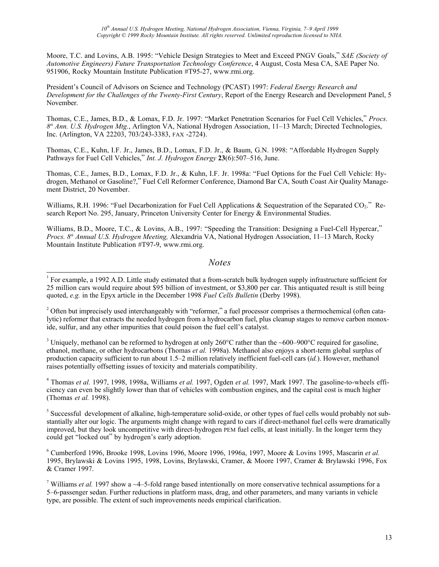Moore, T.C. and Lovins, A.B. 1995: "Vehicle Design Strategies to Meet and Exceed PNGV Goals," *SAE (Society of Automotive Engineers) Future Transportation Technology Conference*, 4 August, Costa Mesa CA, SAE Paper No. 951906, Rocky Mountain Institute Publication #T95-27, www.rmi.org.

President's Council of Advisors on Science and Technology (PCAST) 1997: *Federal Energy Research and Development for the Challenges of the Twenty-First Century*, Report of the Energy Research and Development Panel, 5 November.

Thomas, C.E., James, B.D., & Lomax, F.D. Jr. 1997: "Market Penetration Scenarios for Fuel Cell Vehicles," *Procs. 8th Ann. U.S. Hydrogen Mtg.*, Arlington VA, National Hydrogen Association, 11–13 March; Directed Technologies, Inc. (Arlington, VA 22203, 703/243-3383, FAX -2724).

Thomas, C.E., Kuhn, I.F. Jr., James, B.D., Lomax, F.D. Jr., & Baum, G.N. 1998: "Affordable Hydrogen Supply Pathways for Fuel Cell Vehicles," *Int. J. Hydrogen Energy* **23**(6):507–516, June.

Thomas, C.E., James, B.D., Lomax, F.D. Jr., & Kuhn, I.F. Jr. 1998a: "Fuel Options for the Fuel Cell Vehicle: Hydrogen, Methanol or Gasoline?," Fuel Cell Reformer Conference, Diamond Bar CA, South Coast Air Quality Management District, 20 November.

Williams, R.H. 1996: "Fuel Decarbonization for Fuel Cell Applications & Sequestration of the Separated CO<sub>2</sub>." Research Report No. 295, January, Princeton University Center for Energy & Environmental Studies.

Williams, B.D., Moore, T.C., & Lovins, A.B., 1997: "Speeding the Transition: Designing a Fuel-Cell Hypercar," *Procs. 8th Annual U.S. Hydrogen Meeting,* Alexandria VA, National Hydrogen Association, 11–13 March, Rocky Mountain Institute Publication #T97-9, www.rmi.org.

#### *Notes*

 $\overline{a}$ 

 $2$  Often but imprecisely used interchangeably with "reformer," a fuel processor comprises a thermochemical (often catalytic) reformer that extracts the needed hydrogen from a hydrocarbon fuel, plus cleanup stages to remove carbon monoxide, sulfur, and any other impurities that could poison the fuel cell's catalyst.

<sup>3</sup> Uniquely, methanol can be reformed to hydrogen at only 260°C rather than the ~600–900°C required for gasoline, ethanol, methane, or other hydrocarbons (Thomas *et al.* 1998a). Methanol also enjoys a short-term global surplus of production capacity sufficient to run about 1.5–2 million relatively inefficient fuel-cell cars (*id.*). However, methanol raises potentially offsetting issues of toxicity and materials compatibility.

<sup>4</sup> Thomas *et al.* 1997, 1998, 1998a, Williams *et al.* 1997, Ogden *et al.* 1997, Mark 1997. The gasoline-to-wheels efficiency can even be slightly lower than that of vehicles with combustion engines, and the capital cost is much higher (Thomas *et al.* 1998).

<sup>5</sup> Successful development of alkaline, high-temperature solid-oxide, or other types of fuel cells would probably not substantially alter our logic. The arguments might change with regard to cars if direct-methanol fuel cells were dramatically improved, but they look uncompetitive with direct-hydrogen PEM fuel cells, at least initially. In the longer term they could get "locked out" by hydrogen's early adoption.

6 Cumberford 1996, Brooke 1998, Lovins 1996, Moore 1996, 1996a, 1997, Moore & Lovins 1995, Mascarin *et al.* 1995, Brylawski & Lovins 1995, 1998, Lovins, Brylawski, Cramer, & Moore 1997, Cramer & Brylawski 1996, Fox & Cramer 1997.

<sup>7</sup> Williams *et al.* 1997 show a  $\sim$ 4–5-fold range based intentionally on more conservative technical assumptions for a 5–6-passenger sedan. Further reductions in platform mass, drag, and other parameters, and many variants in vehicle type, are possible. The extent of such improvements needs empirical clarification.

<sup>&</sup>lt;sup>1</sup> For example, a 1992 A.D. Little study estimated that a from-scratch bulk hydrogen supply infrastructure sufficient for 25 million cars would require about \$95 billion of investment, or \$3,800 per car. This antiquated result is still being quoted, *e.g.* in the Epyx article in the December 1998 *Fuel Cells Bulletin* (Derby 1998).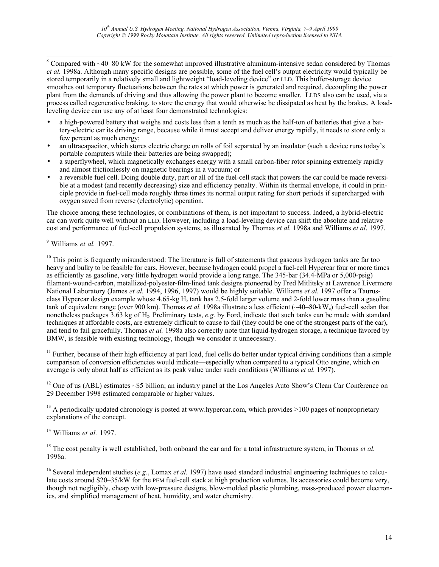$\frac{1}{8}$  $8$  Compared with  $\sim$ 40–80 kW for the somewhat improved illustrative aluminum-intensive sedan considered by Thomas *et al.* 1998a. Although many specific designs are possible, some of the fuel cell's output electricity would typically be stored temporarily in a relatively small and lightweight "load-leveling device" or LLD. This buffer-storage device smoothes out temporary fluctuations between the rates at which power is generated and required, decoupling the power plant from the demands of driving and thus allowing the power plant to become smaller. LLDS also can be used, via a process called regenerative braking, to store the energy that would otherwise be dissipated as heat by the brakes. A loadleveling device can use any of at least four demonstrated technologies:

- a high-powered battery that weighs and costs less than a tenth as much as the half-ton of batteries that give a battery-electric car its driving range, because while it must accept and deliver energy rapidly, it needs to store only a few percent as much energy;
- an ultracapacitor, which stores electric charge on rolls of foil separated by an insulator (such a device runs today's portable computers while their batteries are being swapped);
- a superflywheel, which magnetically exchanges energy with a small carbon-fiber rotor spinning extremely rapidly and almost frictionlessly on magnetic bearings in a vacuum; or
- a reversible fuel cell. Doing double duty, part or all of the fuel-cell stack that powers the car could be made reversible at a modest (and recently decreasing) size and efficiency penalty. Within its thermal envelope, it could in principle provide in fuel-cell mode roughly three times its normal output rating for short periods if supercharged with oxygen saved from reverse (electrolytic) operation.

The choice among these technologies, or combinations of them, is not important to success. Indeed, a hybrid-electric car can work quite well without an LLD. However, including a load-leveling device can shift the absolute and relative cost and performance of fuel-cell propulsion systems, as illustrated by Thomas *et al.* 1998a and Williams *et al*. 1997.

9 Williams *et al.* 1997.

<sup>10</sup> This point is frequently misunderstood: The literature is full of statements that gaseous hydrogen tanks are far too heavy and bulky to be feasible for cars. However, because hydrogen could propel a fuel-cell Hypercar four or more times as efficiently as gasoline, very little hydrogen would provide a long range. The 345-bar (34.4-MPa or 5,000-psig) filament-wound-carbon, metallized-polyester-film-lined tank designs pioneered by Fred Mitlitsky at Lawrence Livermore National Laboratory (James *et al.* 1994, 1996, 1997) would be highly suitable. Williams *et al.* 1997 offer a Taurusclass Hypercar design example whose  $4.65$ -kg H<sub>2</sub> tank has 2.5-fold larger volume and 2-fold lower mass than a gasoline tank of equivalent range (over 900 km). Thomas *et al.* 1998a illustrate a less efficient (~40–80-kWe) fuel-cell sedan that nonetheless packages 3.63 kg of H<sub>2</sub>. Preliminary tests, *e.g.* by Ford, indicate that such tanks can be made with standard techniques at affordable costs, are extremely difficult to cause to fail (they could be one of the strongest parts of the car), and tend to fail gracefully. Thomas *et al.* 1998a also correctly note that liquid-hydrogen storage, a technique favored by BMW, is feasible with existing technology, though we consider it unnecessary.

<sup>11</sup> Further, because of their high efficiency at part load, fuel cells do better under typical driving conditions than a simple comparison of conversion efficiencies would indicate—especially when compared to a typical Otto engine, which on average is only about half as efficient as its peak value under such conditions (Williams *et al.* 1997).

 $12$  One of us (ABL) estimates ~\$5 billion; an industry panel at the Los Angeles Auto Show's Clean Car Conference on 29 December 1998 estimated comparable or higher values.

 $^{13}$  A periodically updated chronology is posted at www.hypercar.com, which provides  $>100$  pages of nonproprietary explanations of the concept.

14 Williams *et al.* 1997.

<sup>15</sup> The cost penalty is well established, both onboard the car and for a total infrastructure system, in Thomas *et al.* 1998a.

<sup>16</sup> Several independent studies (*e.g.*, Lomax *et al.* 1997) have used standard industrial engineering techniques to calculate costs around \$20–35/kW for the PEM fuel-cell stack at high production volumes. Its accessories could become very, though not negligibly, cheap with low-pressure designs, blow-molded plastic plumbing, mass-produced power electronics, and simplified management of heat, humidity, and water chemistry.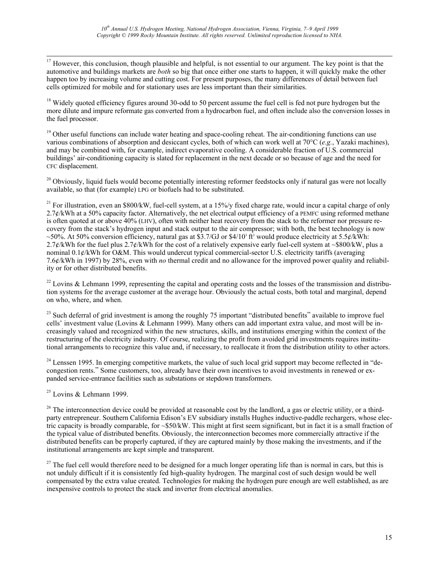<sup>17</sup> However, this conclusion, though plausible and helpful, is not essential to our argument. The key point is that the automotive and buildings markets are *both* so big that once either one starts to happen, it will quickly make the other happen too by increasing volume and cutting cost. For present purposes, the many differences of detail between fuel cells optimized for mobile and for stationary uses are less important than their similarities.

<sup>18</sup> Widely quoted efficiency figures around 30-odd to 50 percent assume the fuel cell is fed not pure hydrogen but the more dilute and impure reformate gas converted from a hydrocarbon fuel, and often include also the conversion losses in the fuel processor.

<sup>19</sup> Other useful functions can include water heating and space-cooling reheat. The air-conditioning functions can use various combinations of absorption and desiccant cycles, both of which can work well at 70°C (*e.g.*, Yazaki machines), and may be combined with, for example, indirect evaporative cooling. A considerable fraction of U.S. commercial buildings' air-conditioning capacity is slated for replacement in the next decade or so because of age and the need for CFC displacement.

 $20$  Obviously, liquid fuels would become potentially interesting reformer feedstocks only if natural gas were not locally available, so that (for example) LPG or biofuels had to be substituted.

<sup>21</sup> For illustration, even an \$800/kW<sub>e</sub> fuel-cell system, at a 15%/y fixed charge rate, would incur a capital charge of only 2.7¢/kWh at a 50% capacity factor. Alternatively, the net electrical output efficiency of a PEMFC using reformed methane is often quoted at or above 40% (LHV), often with neither heat recovery from the stack to the reformer nor pressure recovery from the stack's hydrogen input and stack output to the air compressor; with both, the best technology is now ~50%. At 50% conversion efficiency, natural gas at \$3.7/GJ or  $$4/10^3$  ft<sup>3</sup> would produce electricity at 5.5¢/kWh: 2.7¢/kWh for the fuel plus 2.7¢/kWh for the cost of a relatively expensive early fuel-cell system at ~\$800/kW, plus a nominal 0.1¢/kWh for O&M. This would undercut typical commercial-sector U.S. electricity tariffs (averaging 7.6¢/kWh in 1997) by 28%, even with *no* thermal credit and no allowance for the improved power quality and reliability or for other distributed benefits.

 $^{22}$  Lovins & Lehmann 1999, representing the capital and operating costs and the losses of the transmission and distribution systems for the average customer at the average hour. Obviously the actual costs, both total and marginal, depend on who, where, and when.

 $23$  Such deferral of grid investment is among the roughly 75 important "distributed benefits" available to improve fuel cells' investment value (Lovins & Lehmann 1999). Many others can add important extra value, and most will be increasingly valued and recognized within the new structures, skills, and institutions emerging within the context of the restructuring of the electricity industry. Of course, realizing the profit from avoided grid investments requires institutional arrangements to recognize this value and, if necessary, to reallocate it from the distribution utility to other actors.

 $^{24}$  Lenssen 1995. In emerging competitive markets, the value of such local grid support may become reflected in "decongestion rents." Some customers, too, already have their own incentives to avoid investments in renewed or expanded service-entrance facilities such as substations or stepdown transformers.

 $25$  Lovins & Lehmann 1999.

 $26$  The interconnection device could be provided at reasonable cost by the landlord, a gas or electric utility, or a thirdparty entrepreneur. Southern California Edison's EV subsidiary installs Hughes inductive-paddle rechargers, whose electric capacity is broadly comparable, for ~\$50/kW. This might at first seem significant, but in fact it is a small fraction of the typical value of distributed benefits. Obviously, the interconnection becomes more commercially attractive if the distributed benefits can be properly captured, if they are captured mainly by those making the investments, and if the institutional arrangements are kept simple and transparent.

 $27$  The fuel cell would therefore need to be designed for a much longer operating life than is normal in cars, but this is not unduly difficult if it is consistently fed high-quality hydrogen. The marginal cost of such design would be well compensated by the extra value created. Technologies for making the hydrogen pure enough are well established, as are inexpensive controls to protect the stack and inverter from electrical anomalies.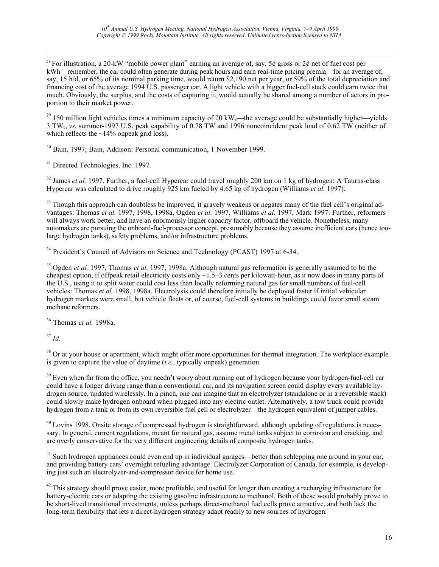<sup>28</sup> For illustration, a 20-kW "mobile power plant" earning an average of, say, 5¢ gross or 2¢ net of fuel cost per kWh—remember, the car could often generate during peak hours and earn real-time pricing premia—for an average of, say, 15 h/d, or 65% of its nominal parking time, would return \$2,190 net per year, or 59% of the total depreciation and financing cost of the average 1994 U.S. passenger car. A light vehicle with a bigger fuel-cell stack could earn twice that much. Obviously, the surplus, and the costs of capturing it, would actually be shared among a number of actors in proportion to their market power.

<sup>29</sup> 150 million light vehicles times a minimum capacity of 20 kW<sub>e</sub>—the average could be substantially higher—yields 3 TWe, *vs.* summer-1997 U.S. peak capability of 0.78 TW and 1996 noncoincident peak load of 0.62 TW (neither of which reflects the  $\sim$ 14% onpeak grid loss).

30 Bain, 1997; Bain, Addison: Personal communication, 1 November 1999.

<sup>31</sup> Directed Technologies, Inc. 1997.

<sup>32</sup> James *et al.* 1997. Further, a fuel-cell Hypercar could travel roughly 200 km on 1 kg of hydrogen: A Taurus-class Hypercar was calculated to drive roughly 925 km fueled by 4.65 kg of hydrogen (Williams *et al.* 1997).

 $33$  Though this approach can doubtless be improved, it gravely weakens or negates many of the fuel cell's original advantages: Thomas *et al.* 1997, 1998, 1998a, Ogden *et al.* 1997, Williams *et al.* 1997, Mark 1997. Further, reformers will always work better, and have an enormously higher capacity factor, offboard the vehicle. Nonetheless, many automakers are pursuing the onboard-fuel-processor concept, presumably because they assume inefficient cars (hence toolarge hydrogen tanks), safety problems, and/or infrastructure problems.

 $34$  President's Council of Advisors on Science and Technology (PCAST) 1997 at 6-34.

<sup>35</sup> Ogden *et al.* 1997, Thomas *et al.* 1997, 1998a. Although natural gas reformation is generally assumed to be the cheapest option, if offpeak retail electricity costs only  $\sim$ 1.5–3 cents per kilowatt-hour, as it now does in many parts of the U.S., using it to split water could cost less than locally reforming natural gas for small numbers of fuel-cell vehicles: Thomas *et al.* 1998, 1998a. Electrolysis could therefore initially be deployed faster if initial vehicular hydrogen markets were small, but vehicle fleets or, of course, fuel-cell systems in buildings could favor small steam methane reformers.

36 Thomas *et al.* 1998a.

<sup>37</sup> *Id.*

 $38$  Or at your house or apartment, which might offer more opportunities for thermal integration. The workplace example is given to capture the value of daytime (*i.e.*, typically onpeak) generation.

 $39$  Even when far from the office, you needn't worry about running out of hydrogen because your hydrogen-fuel-cell car could have a longer driving range than a conventional car, and its navigation screen could display every available hydrogen source, updated wirelessly. In a pinch, one can imagine that an electrolyzer (standalone or in a reversible stack) could slowly make hydrogen onboard when plugged into any electric outlet. Alternatively, a tow truck could provide hydrogen from a tank or from its own reversible fuel cell or electrolyzer—the hydrogen equivalent of jumper cables.

 $40$  Lovins 1998. Onsite storage of compressed hydrogen is straightforward, although updating of regulations is necessary. In general, current regulations, meant for natural gas, assume metal tanks subject to corrosion and cracking, and are overly conservative for the very different engineering details of composite hydrogen tanks.

<sup>41</sup> Such hydrogen appliances could even end up in individual garages—better than schlepping one around in your car, and providing battery cars' overnight refueling advantage. Electrolyzer Corporation of Canada, for example, is developing just such an electrolyzer-and-compressor device for home use.

 $42$  This strategy should prove easier, more profitable, and useful for longer than creating a recharging infrastructure for battery-electric cars or adapting the existing gasoline infrastructure to methanol. Both of these would probably prove to be short-lived transitional investments, unless perhaps direct-methanol fuel cells prove attractive, and both lack the long-term flexibility that lets a direct-hydrogen strategy adapt readily to new sources of hydrogen.